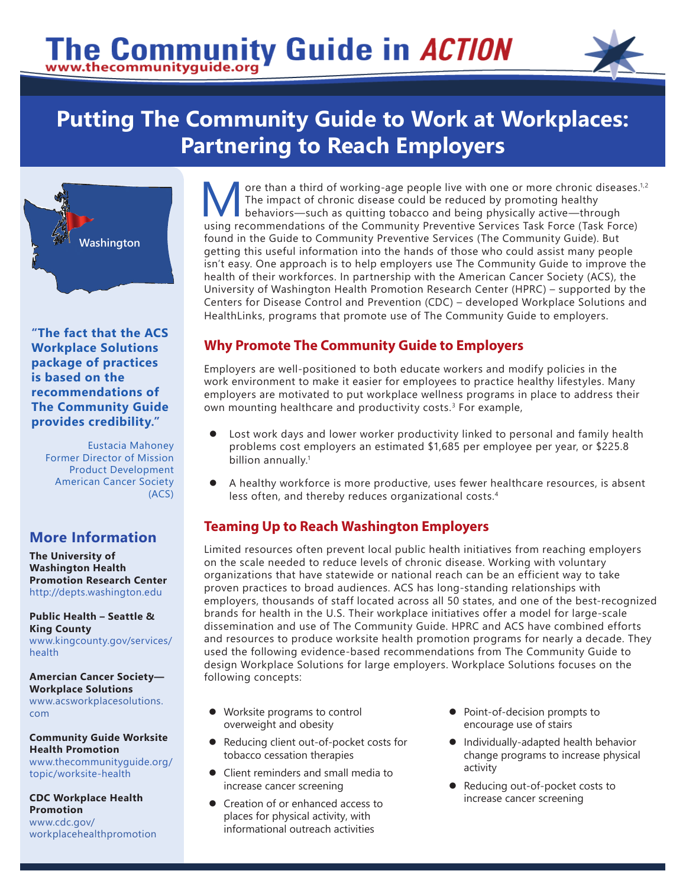# The Community Guide in ACTION



# **Putting The Community Guide to Work at Workplaces: Partnering to Reach Employers**



**"The fact that the ACS Workplace Solutions package of practices is based on the recommendations of The Community Guide provides credibility."**

Eustacia Mahoney Former Director of Mission Product Development American Cancer Society (ACS)

# **More Information**

**The University of Washington Health Promotion Research Center** http://depts[.washington.e](http://depts.washington.edu/)du

**Public Health – Seattle & King County** [www.kingcounty.go](https://www.kingcounty.gov/services/health.aspx)v/services/ health

**Amercian Cancer Society— Workplace Solutions** [www.acsworkplacesolutions.](https://www.acsworkplacesolutions.com/) [com](https://www.acsworkplacesolutions.com/)

**Community Guide Worksite Health Promotion**  [www.thecommunityguide.org/](https://www.thecommunityguide.org/topic/worksite-health) [topic/](https://www.thecommunityguide.org/topic/worksite-health)worksite-health

**CDC Workplace Health Promotion**

[www.cdc.gov/](https://www.cdc.gov/workplacehealthpromotion/index.html) [workplacehealthpromotion](https://www.cdc.gov/workplacehealthpromotion/index.html)

ore than a third of working-age people live with one or more chronic diseases.<sup>1,2</sup> The impact of chronic disease could be reduced by promoting healthy behaviors—such as quitting tobacco and being physically active—through using recommendations of the Community Preventive Services Task Force (Task Force) found in the Guide to Community Preventive Services (The Community Guide). But getting this useful information into the hands of those who could assist many people isn't easy. One approach is to help employers use The Community Guide to improve the health of their workforces. In partnership with the American Cancer Society (ACS), the University of Washington Health Promotion Research Center (HPRC) – supported by the Centers for Disease Control and Prevention (CDC) – developed Workplace Solutions and HealthLinks, programs that promote use of The Community Guide to employers.

### **Why Promote The Community Guide to Employers**

Employers are well-positioned to both educate workers and modify policies in the work environment to make it easier for employees to practice healthy lifestyles. Many employers are motivated to put workplace wellness programs in place to address their own mounting healthcare and productivity costs.<sup>3</sup> For example,

- Lost work days and lower worker productivity linked to personal and family health problems cost employers an estimated \$1,685 per employee per year, or \$225.8 billion annually.<sup>1</sup>
- A healthy workforce is more productive, uses fewer healthcare resources, is absent less often, and thereby reduces organizational costs.4

# **Teaming Up to Reach Washington Employers**

Limited resources often prevent local public health initiatives from reaching employers on the scale needed to reduce levels of chronic disease. Working with voluntary organizations that have statewide or national reach can be an efficient way to take proven practices to broad audiences. ACS has long-standing relationships with employers, thousands of staff located across all 50 states, and one of the best-recognized brands for health in the U.S. Their workplace initiatives offer a model for large-scale dissemination and use of The Community Guide. HPRC and ACS have combined efforts and resources to produce worksite health promotion programs for nearly a decade. They used the following evidence-based recommendations from The Community Guide to design Workplace Solutions for large employers. Workplace Solutions focuses on the following concepts:

- Worksite programs to control overweight and obesity
- Reducing client out-of-pocket costs for tobacco cessation therapies
- Client reminders and small media to increase cancer screening
- Creation of or enhanced access to places for physical activity, with informational outreach activities
- Point-of-decision prompts to encourage use of stairs
- $\bullet$  Individually-adapted health behavior change programs to increase physical activity
- Reducing out-of-pocket costs to increase cancer screening